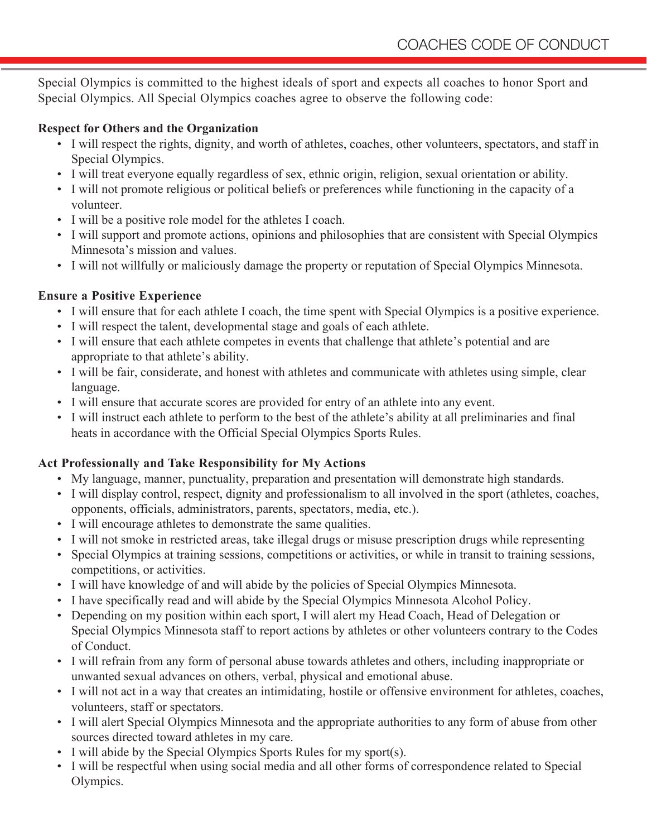Special Olympics is committed to the highest ideals of sport and expects all coaches to honor Sport and Special Olympics. All Special Olympics coaches agree to observe the following code:

#### **Respect for Others and the Organization**

- I will respect the rights, dignity, and worth of athletes, coaches, other volunteers, spectators, and staff in Special Olympics.
- I will treat everyone equally regardless of sex, ethnic origin, religion, sexual orientation or ability.
- I will not promote religious or political beliefs or preferences while functioning in the capacity of a volunteer.
- I will be a positive role model for the athletes I coach.
- I will support and promote actions, opinions and philosophies that are consistent with Special Olympics Minnesota's mission and values.
- I will not willfully or maliciously damage the property or reputation of Special Olympics Minnesota.

# **Ensure a Positive Experience**

- I will ensure that for each athlete I coach, the time spent with Special Olympics is a positive experience.
- I will respect the talent, developmental stage and goals of each athlete.
- I will ensure that each athlete competes in events that challenge that athlete's potential and are appropriate to that athlete's ability.
- I will be fair, considerate, and honest with athletes and communicate with athletes using simple, clear language.
- I will ensure that accurate scores are provided for entry of an athlete into any event.
- I will instruct each athlete to perform to the best of the athlete's ability at all preliminaries and final heats in accordance with the Official Special Olympics Sports Rules.

# **Act Professionally and Take Responsibility for My Actions**

- My language, manner, punctuality, preparation and presentation will demonstrate high standards.
- I will display control, respect, dignity and professionalism to all involved in the sport (athletes, coaches, opponents, officials, administrators, parents, spectators, media, etc.).
- I will encourage athletes to demonstrate the same qualities.
- I will not smoke in restricted areas, take illegal drugs or misuse prescription drugs while representing
- Special Olympics at training sessions, competitions or activities, or while in transit to training sessions, competitions, or activities.
- I will have knowledge of and will abide by the policies of Special Olympics Minnesota.
- I have specifically read and will abide by the Special Olympics Minnesota Alcohol Policy.
- Depending on my position within each sport, I will alert my Head Coach, Head of Delegation or Special Olympics Minnesota staff to report actions by athletes or other volunteers contrary to the Codes of Conduct.
- I will refrain from any form of personal abuse towards athletes and others, including inappropriate or unwanted sexual advances on others, verbal, physical and emotional abuse.
- I will not act in a way that creates an intimidating, hostile or offensive environment for athletes, coaches, volunteers, staff or spectators.
- I will alert Special Olympics Minnesota and the appropriate authorities to any form of abuse from other sources directed toward athletes in my care.
- I will abide by the Special Olympics Sports Rules for my sport(s).
- I will be respectful when using social media and all other forms of correspondence related to Special Olympics.